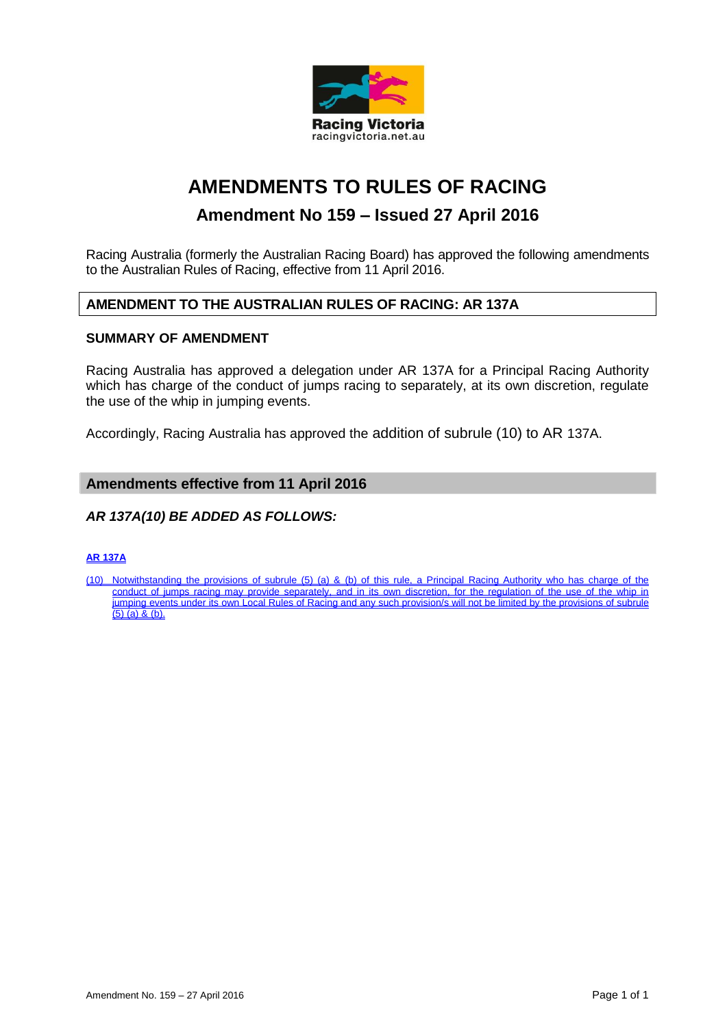

# **AMENDMENTS TO RULES OF RACING**

## **Amendment No 159 – Issued 27 April 2016**

Racing Australia (formerly the Australian Racing Board) has approved the following amendments to the Australian Rules of Racing, effective from 11 April 2016.

## **AMENDMENT TO THE AUSTRALIAN RULES OF RACING: AR 137A**

## **SUMMARY OF AMENDMENT**

Racing Australia has approved a delegation under AR 137A for a Principal Racing Authority which has charge of the conduct of jumps racing to separately, at its own discretion, regulate the use of the whip in jumping events.

Accordingly, Racing Australia has approved the addition of subrule (10) to AR 137A.

## **Amendments effective from 11 April 2016**

## *AR 137A(10) BE ADDED AS FOLLOWS:*

#### **AR 137A**

(10) Notwithstanding the provisions of subrule (5) (a) & (b) of this rule, a Principal Racing Authority who has charge of the conduct of jumps racing may provide separately, and in its own discretion, for the regulation of the use of the whip in jumping events under its own Local Rules of Racing and any such provision/s will not be limited by the provisions of subrule  $(5)$  (a) & (b).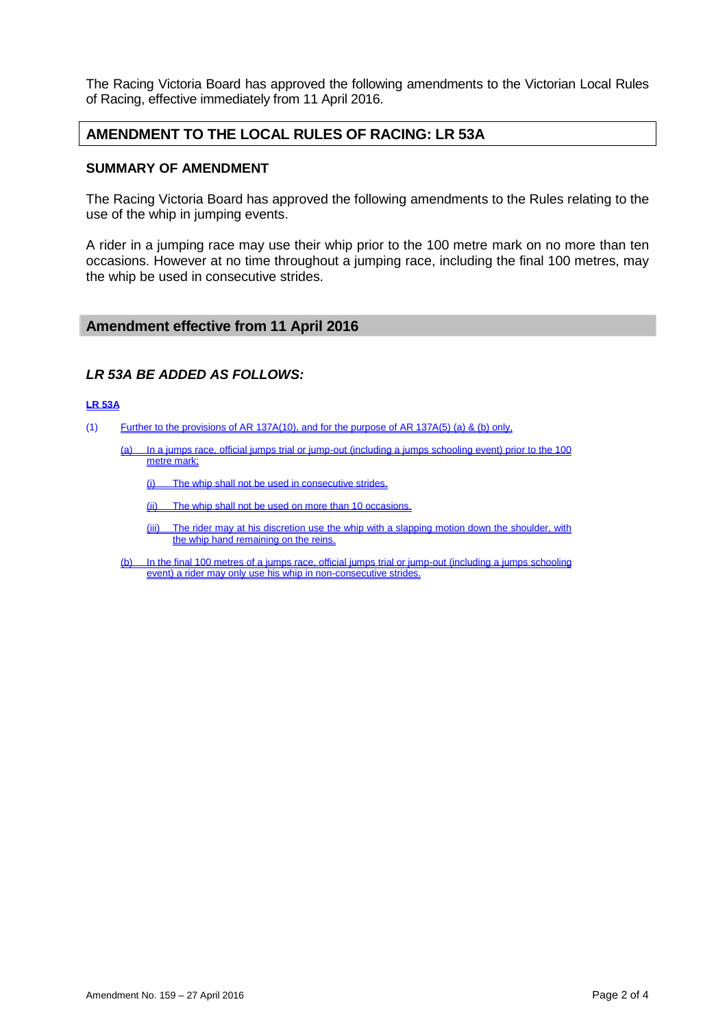The Racing Victoria Board has approved the following amendments to the Victorian Local Rules of Racing, effective immediately from 11 April 2016.

## **AMENDMENT TO THE LOCAL RULES OF RACING: LR 53A**

#### **SUMMARY OF AMENDMENT**

The Racing Victoria Board has approved the following amendments to the Rules relating to the use of the whip in jumping events.

A rider in a jumping race may use their whip prior to the 100 metre mark on no more than ten occasions. However at no time throughout a jumping race, including the final 100 metres, may the whip be used in consecutive strides.

#### **Amendment effective from 11 April 2016**

## *LR 53A BE ADDED AS FOLLOWS:*

#### **LR 53A**

- (1) Further to the provisions of AR 137A(10), and for the purpose of AR 137A(5) (a) & (b) only,
	- (a) In a jumps race, official jumps trial or jump-out (including a jumps schooling event) prior to the 100 metre mark;

(i) The whip shall not be used in consecutive strides.

(ii) The whip shall not be used on more than 10 occasions.

- (iii) The rider may at his discretion use the whip with a slapping motion down the shoulder, with the whip hand remaining on the reins.
- (b) In the final 100 metres of a jumps race, official jumps trial or jump-out (including a jumps schooling event) a rider may only use his whip in non-consecutive strides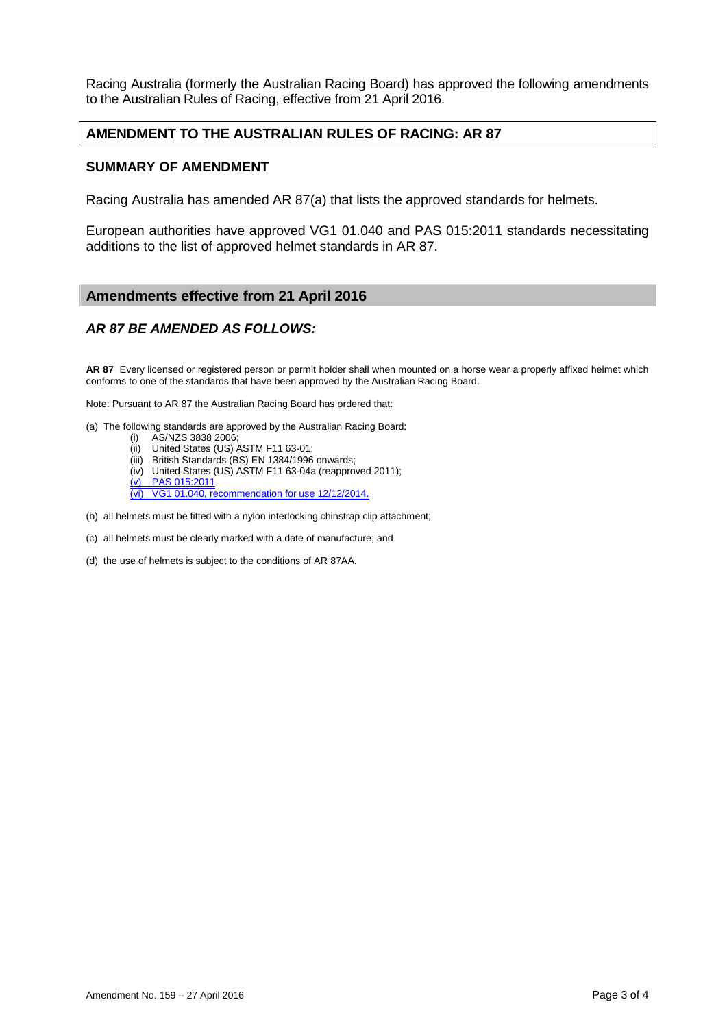Racing Australia (formerly the Australian Racing Board) has approved the following amendments to the Australian Rules of Racing, effective from 21 April 2016.

## **AMENDMENT TO THE AUSTRALIAN RULES OF RACING: AR 87**

#### **SUMMARY OF AMENDMENT**

Racing Australia has amended AR 87(a) that lists the approved standards for helmets.

European authorities have approved VG1 01.040 and PAS 015:2011 standards necessitating additions to the list of approved helmet standards in AR 87.

## **Amendments effective from 21 April 2016**

## *AR 87 BE AMENDED AS FOLLOWS:*

**AR 87** Every licensed or registered person or permit holder shall when mounted on a horse wear a properly affixed helmet which conforms to one of the standards that have been approved by the Australian Racing Board.

Note: Pursuant to AR 87 the Australian Racing Board has ordered that:

- (a) The following standards are approved by the Australian Racing Board:
	- (i) AS/NZS 3838 2006;<br>(ii) United States (US) /
	- United States (US) ASTM F11 63-01;
	- (iii) British Standards (BS) EN 1384/1996 onwards;
	- (iv) United States (US) ASTM F11 63-04a (reapproved 2011);
	- (v) PAS 015:2011
	- (vi) VG1 01.040, recommendation for use 12/12/2014.
- (b) all helmets must be fitted with a nylon interlocking chinstrap clip attachment;
- (c) all helmets must be clearly marked with a date of manufacture; and
- (d) the use of helmets is subject to the conditions of AR 87AA.